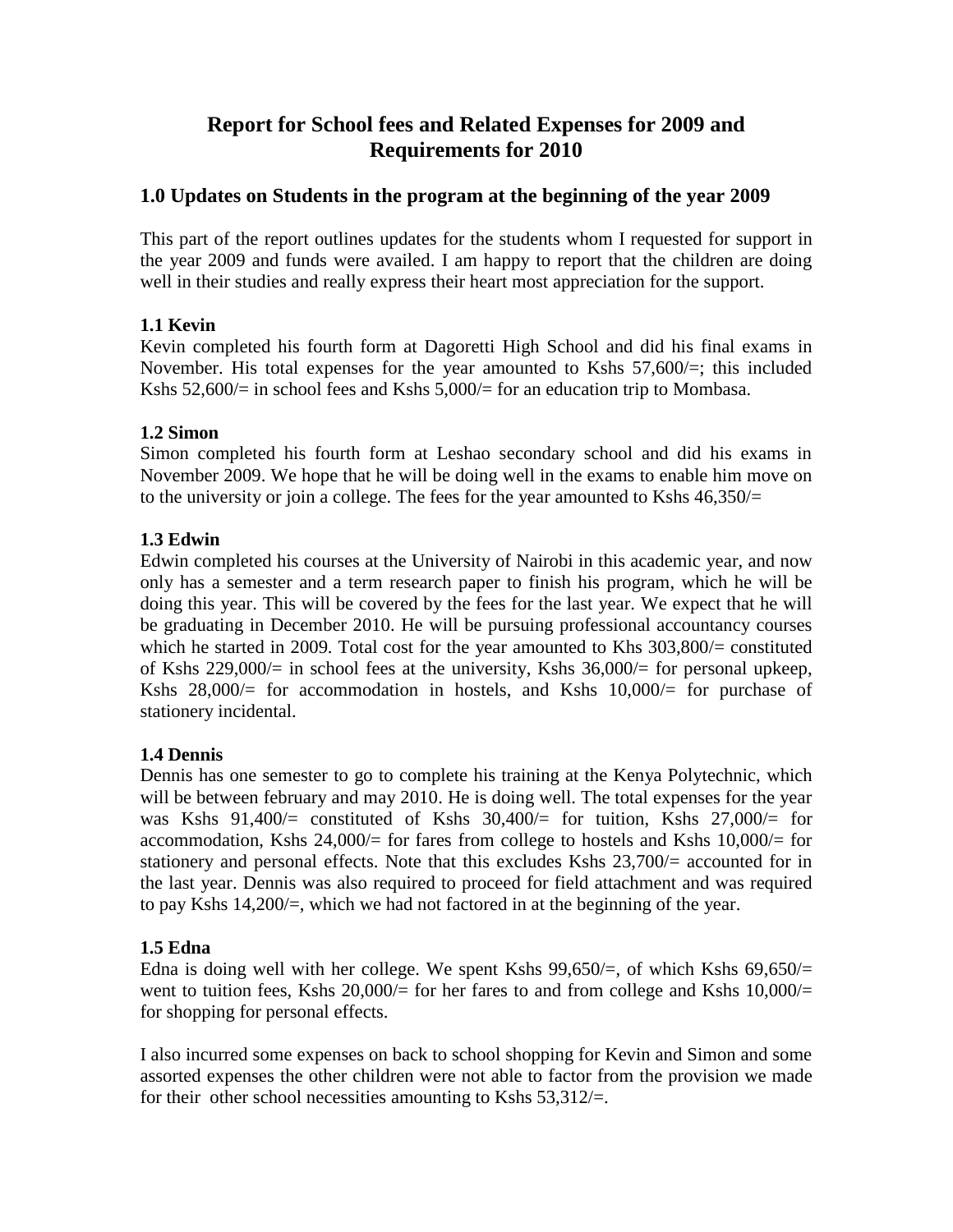# **Report for School fees and Related Expenses for 2009 and Requirements for 2010**

# **1.0 Updates on Students in the program at the beginning of the year 2009**

This part of the report outlines updates for the students whom I requested for support in the year 2009 and funds were availed. I am happy to report that the children are doing well in their studies and really express their heart most appreciation for the support.

# **1.1 Kevin**

Kevin completed his fourth form at Dagoretti High School and did his final exams in November. His total expenses for the year amounted to Kshs 57,600/=; this included Kshs 52,600/= in school fees and Kshs 5,000/= for an education trip to Mombasa.

## **1.2 Simon**

Simon completed his fourth form at Leshao secondary school and did his exams in November 2009. We hope that he will be doing well in the exams to enable him move on to the university or join a college. The fees for the year amounted to Kshs  $46,350/=$ 

## **1.3 Edwin**

Edwin completed his courses at the University of Nairobi in this academic year, and now only has a semester and a term research paper to finish his program, which he will be doing this year. This will be covered by the fees for the last year. We expect that he will be graduating in December 2010. He will be pursuing professional accountancy courses which he started in 2009. Total cost for the year amounted to Khs 303,800/= constituted of Kshs 229,000/= in school fees at the university, Kshs 36,000/= for personal upkeep, Kshs  $28,000/=$  for accommodation in hostels, and Kshs  $10,000/=$  for purchase of stationery incidental.

#### **1.4 Dennis**

Dennis has one semester to go to complete his training at the Kenya Polytechnic, which will be between february and may 2010. He is doing well. The total expenses for the year was Kshs 91,400/= constituted of Kshs 30,400/= for tuition, Kshs 27,000/= for accommodation, Kshs  $24,000/=$  for fares from college to hostels and Kshs  $10,000/=$  for stationery and personal effects. Note that this excludes Kshs 23,700/= accounted for in the last year. Dennis was also required to proceed for field attachment and was required to pay Kshs 14,200/=, which we had not factored in at the beginning of the year.

#### **1.5 Edna**

Edna is doing well with her college. We spent Kshs  $99,650/=$ , of which Kshs  $69,650/=$ went to tuition fees, Kshs  $20,000/$  for her fares to and from college and Kshs  $10,000/$ for shopping for personal effects.

I also incurred some expenses on back to school shopping for Kevin and Simon and some assorted expenses the other children were not able to factor from the provision we made for their other school necessities amounting to Kshs  $53,312/=$ .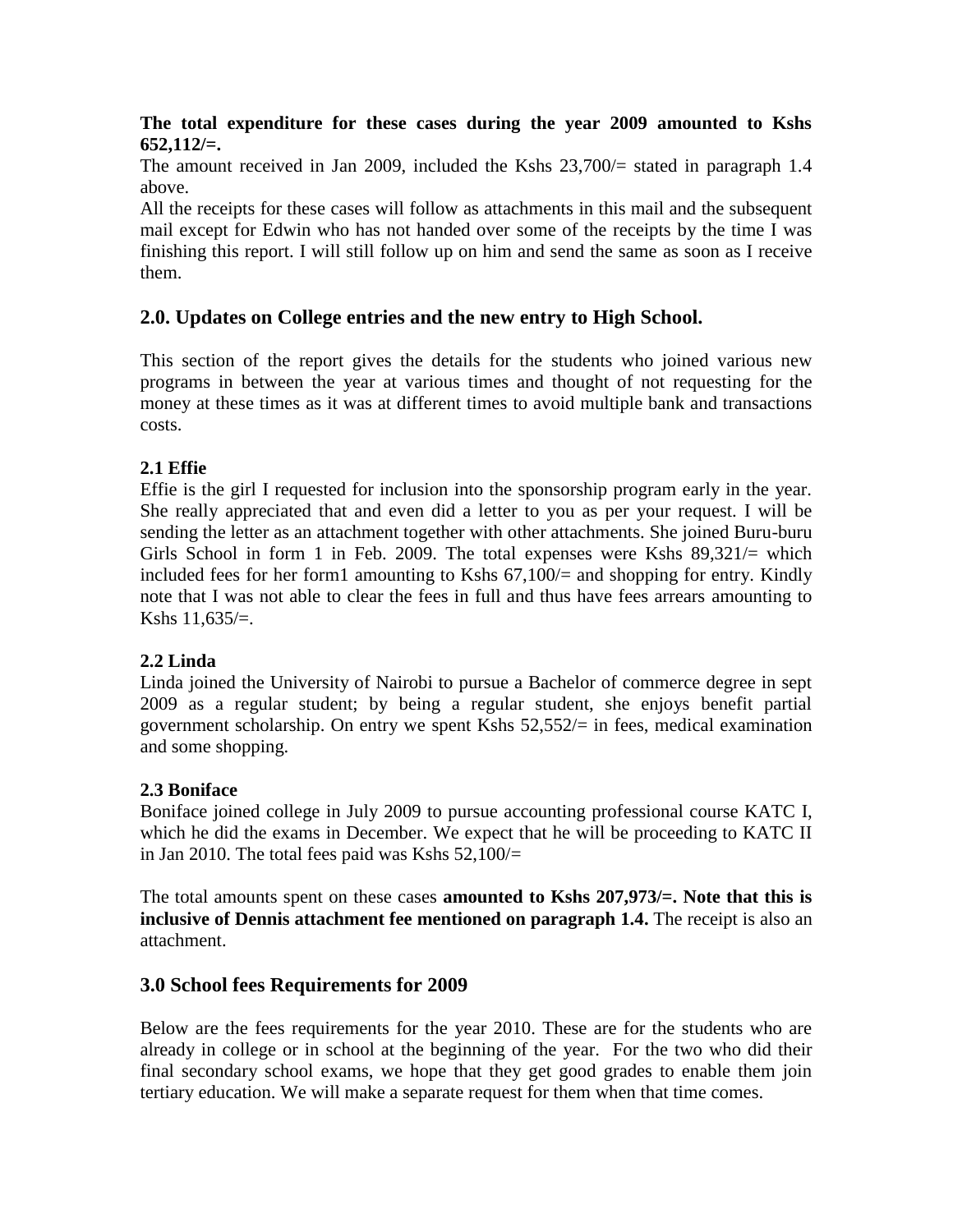## **The total expenditure for these cases during the year 2009 amounted to Kshs 652,112/=.**

The amount received in Jan 2009, included the Kshs 23,700/= stated in paragraph 1.4 above.

All the receipts for these cases will follow as attachments in this mail and the subsequent mail except for Edwin who has not handed over some of the receipts by the time I was finishing this report. I will still follow up on him and send the same as soon as I receive them.

# **2.0. Updates on College entries and the new entry to High School.**

This section of the report gives the details for the students who joined various new programs in between the year at various times and thought of not requesting for the money at these times as it was at different times to avoid multiple bank and transactions costs.

# **2.1 Effie**

Effie is the girl I requested for inclusion into the sponsorship program early in the year. She really appreciated that and even did a letter to you as per your request. I will be sending the letter as an attachment together with other attachments. She joined Buru-buru Girls School in form 1 in Feb. 2009. The total expenses were Kshs  $89,321/=$  which included fees for her form1 amounting to Kshs 67,100/= and shopping for entry. Kindly note that I was not able to clear the fees in full and thus have fees arrears amounting to Kshs  $11.635/=$ .

# **2.2 Linda**

Linda joined the University of Nairobi to pursue a Bachelor of commerce degree in sept 2009 as a regular student; by being a regular student, she enjoys benefit partial government scholarship. On entry we spent Kshs 52,552/= in fees, medical examination and some shopping.

#### **2.3 Boniface**

Boniface joined college in July 2009 to pursue accounting professional course KATC I, which he did the exams in December. We expect that he will be proceeding to KATC II in Jan 2010. The total fees paid was Kshs  $52,100/=$ 

The total amounts spent on these cases **amounted to Kshs 207,973/=. Note that this is inclusive of Dennis attachment fee mentioned on paragraph 1.4.** The receipt is also an attachment.

# **3.0 School fees Requirements for 2009**

Below are the fees requirements for the year 2010. These are for the students who are already in college or in school at the beginning of the year. For the two who did their final secondary school exams, we hope that they get good grades to enable them join tertiary education. We will make a separate request for them when that time comes.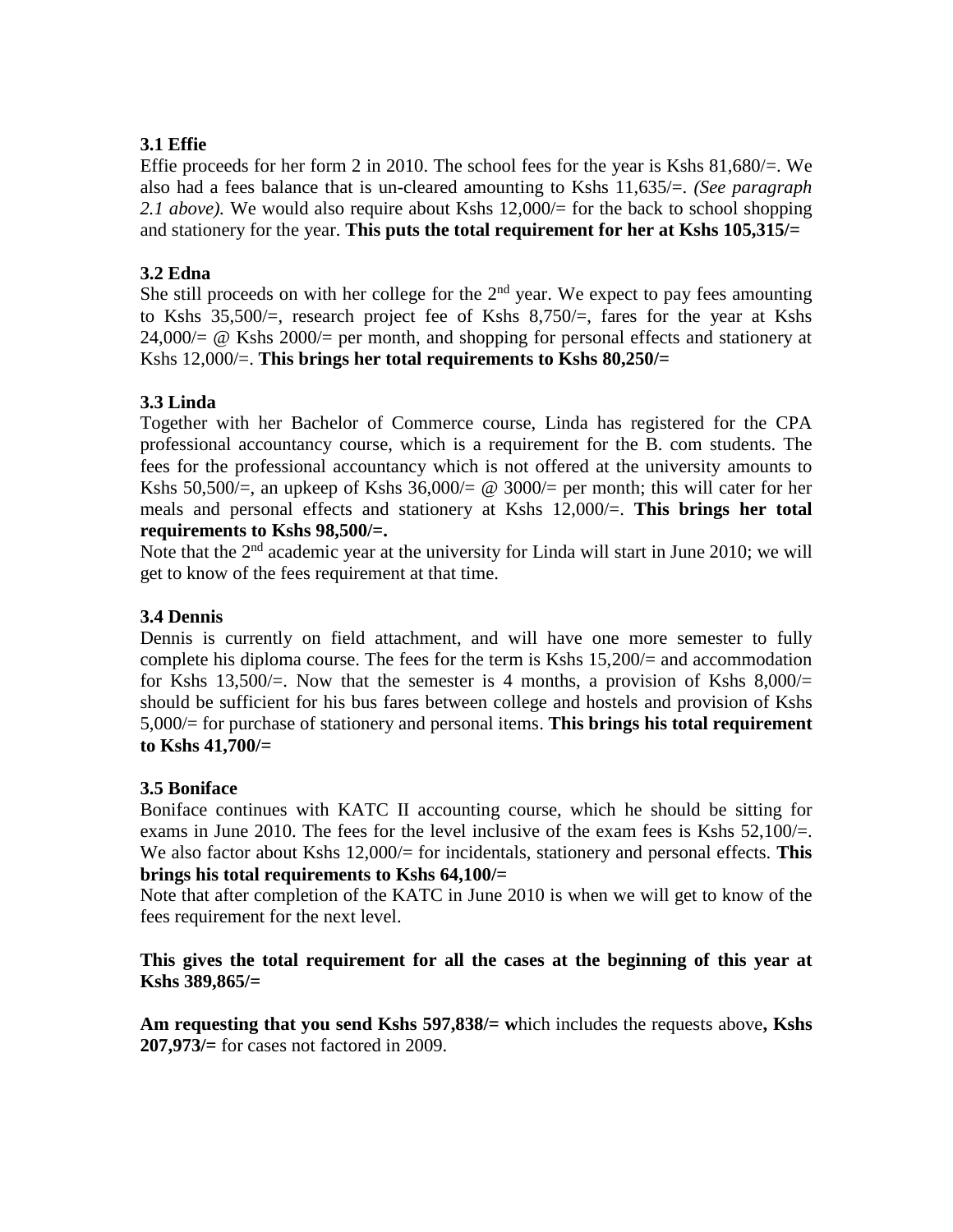## **3.1 Effie**

Effie proceeds for her form 2 in 2010. The school fees for the year is Kshs 81,680/=. We also had a fees balance that is un-cleared amounting to Kshs 11,635/=. *(See paragraph 2.1 above).* We would also require about Kshs 12,000/= for the back to school shopping and stationery for the year. **This puts the total requirement for her at Kshs 105,315/=**

### **3.2 Edna**

She still proceeds on with her college for the  $2<sup>nd</sup>$  year. We expect to pay fees amounting to Kshs 35,500/=, research project fee of Kshs 8,750/=, fares for the year at Kshs 24,000/= @ Kshs 2000/= per month, and shopping for personal effects and stationery at Kshs 12,000/=. **This brings her total requirements to Kshs 80,250/=**

## **3.3 Linda**

Together with her Bachelor of Commerce course, Linda has registered for the CPA professional accountancy course, which is a requirement for the B. com students. The fees for the professional accountancy which is not offered at the university amounts to Kshs 50,500/ $=$ , an upkeep of Kshs 36,000/ $= \text{\&}$  3000/ $=$  per month; this will cater for her meals and personal effects and stationery at Kshs 12,000/=. **This brings her total requirements to Kshs 98,500/=.**

Note that the 2<sup>nd</sup> academic year at the university for Linda will start in June 2010; we will get to know of the fees requirement at that time.

## **3.4 Dennis**

Dennis is currently on field attachment, and will have one more semester to fully complete his diploma course. The fees for the term is Kshs 15,200/= and accommodation for Kshs  $13,500/=$ . Now that the semester is 4 months, a provision of Kshs  $8,000/=$ should be sufficient for his bus fares between college and hostels and provision of Kshs 5,000/= for purchase of stationery and personal items. **This brings his total requirement to Kshs 41,700/=**

#### **3.5 Boniface**

Boniface continues with KATC II accounting course, which he should be sitting for exams in June 2010. The fees for the level inclusive of the exam fees is Kshs  $52,100/=$ . We also factor about Kshs 12,000/= for incidentals, stationery and personal effects. **This brings his total requirements to Kshs 64,100/=**

Note that after completion of the KATC in June 2010 is when we will get to know of the fees requirement for the next level.

### **This gives the total requirement for all the cases at the beginning of this year at Kshs 389,865/=**

**Am requesting that you send Kshs 597,838/= w**hich includes the requests above**, Kshs 207,973/=** for cases not factored in 2009.